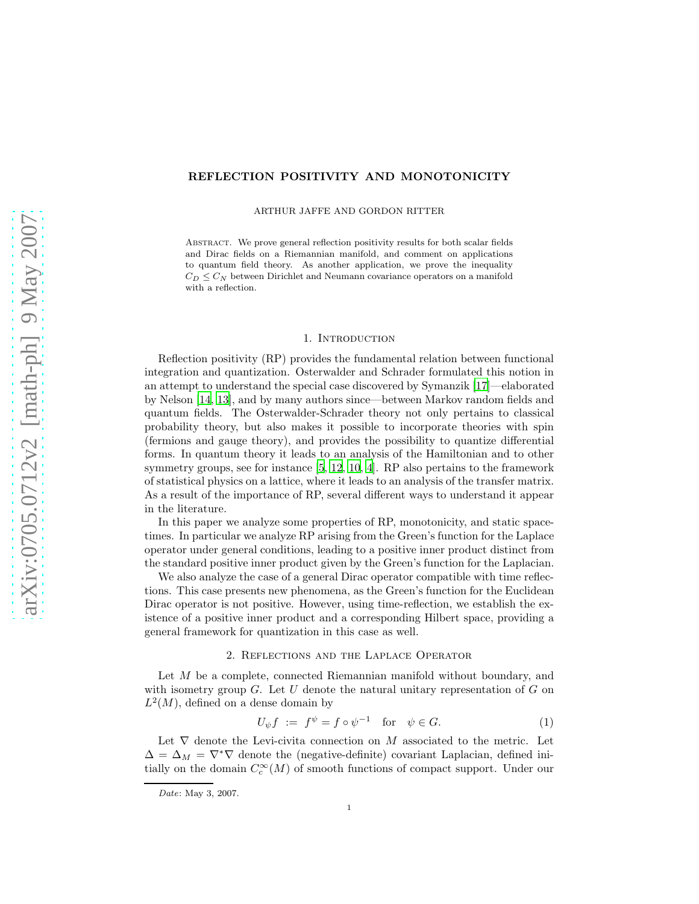# REFLECTION POSITIVITY AND MONOTONICITY

ARTHUR JAFFE AND GORDON RITTER

Abstract. We prove general reflection positivity results for both scalar fields and Dirac fields on a Riemannian manifold, and comment on applications to quantum field theory. As another application, we prove the inequality  $C_D \leq C_N$  between Dirichlet and Neumann covariance operators on a manifold with a reflection.

## 1. Introduction

Reflection positivity (RP) provides the fundamental relation between functional integration and quantization. Osterwalder and Schrader formulated this notion in an attempt to understand the special case discovered by Symanzik [\[17\]](#page-10-0)—elaborated by Nelson [\[14,](#page-10-1) [13\]](#page-10-2), and by many authors since—between Markov random fields and quantum fields. The Osterwalder-Schrader theory not only pertains to classical probability theory, but also makes it possible to incorporate theories with spin (fermions and gauge theory), and provides the possibility to quantize differential forms. In quantum theory it leads to an analysis of the Hamiltonian and to other symmetry groups, see for instance [\[5](#page-9-0), [12,](#page-10-3) [10,](#page-9-1) [4\]](#page-9-2). RP also pertains to the framework of statistical physics on a lattice, where it leads to an analysis of the transfer matrix. As a result of the importance of RP, several different ways to understand it appear in the literature.

In this paper we analyze some properties of RP, monotonicity, and static spacetimes. In particular we analyze RP arising from the Green's function for the Laplace operator under general conditions, leading to a positive inner product distinct from the standard positive inner product given by the Green's function for the Laplacian.

We also analyze the case of a general Dirac operator compatible with time reflections. This case presents new phenomena, as the Green's function for the Euclidean Dirac operator is not positive. However, using time-reflection, we establish the existence of a positive inner product and a corresponding Hilbert space, providing a general framework for quantization in this case as well.

#### 2. Reflections and the Laplace Operator

Let M be a complete, connected Riemannian manifold without boundary, and with isometry group  $G$ . Let U denote the natural unitary representation of G on  $L^2(M)$ , defined on a dense domain by

<span id="page-0-0"></span>
$$
U_{\psi}f := f^{\psi} = f \circ \psi^{-1} \quad \text{for} \quad \psi \in G. \tag{1}
$$

Let  $\nabla$  denote the Levi-civita connection on M associated to the metric. Let  $\Delta = \Delta_M = \nabla^* \nabla$  denote the (negative-definite) covariant Laplacian, defined initially on the domain  $C_c^{\infty}(M)$  of smooth functions of compact support. Under our

Date: May 3, 2007.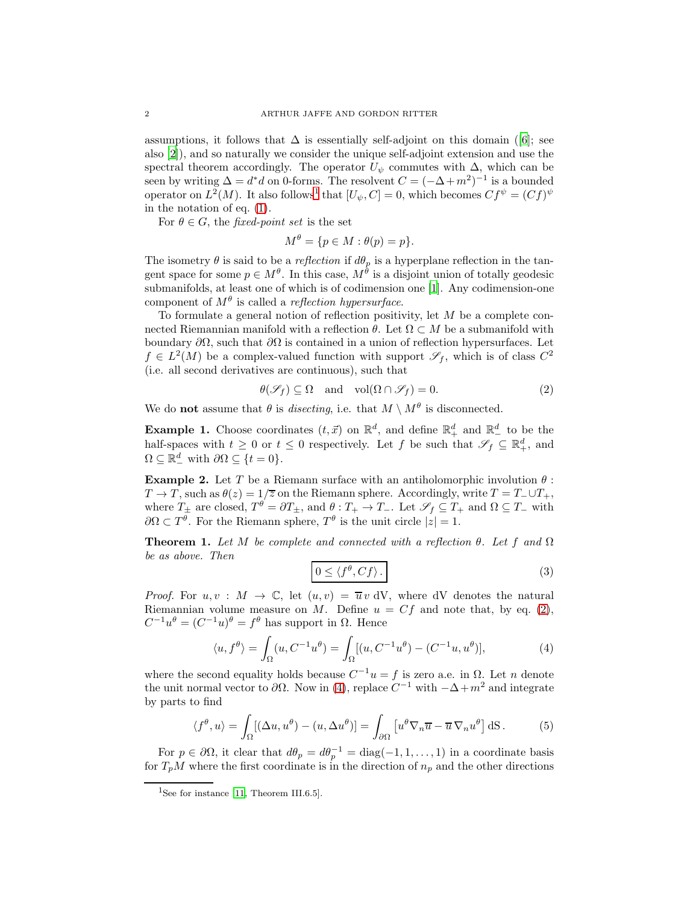assumptions, it follows that  $\Delta$  is essentially self-adjoint on this domain ([\[6](#page-9-3)]; see also [\[2\]](#page-9-4)), and so naturally we consider the unique self-adjoint extension and use the spectral theorem accordingly. The operator  $U_{\psi}$  commutes with  $\Delta$ , which can be seen by writing  $\Delta = d^*d$  on 0-forms. The resolvent  $C = (-\Delta + m^2)^{-1}$  is a bounded operator on  $L^2(M)$ . It also follows<sup>[1](#page-1-0)</sup> that  $[U_\psi, C] = 0$ , which becomes  $Cf^\psi = (Cf)^\psi$ in the notation of eq. [\(1\)](#page-0-0).

For  $\theta \in G$ , the *fixed-point set* is the set

$$
M^{\theta} = \{ p \in M : \theta(p) = p \}.
$$

The isometry  $\theta$  is said to be a *reflection* if  $d\theta_p$  is a hyperplane reflection in the tangent space for some  $p \in M^{\theta}$ . In this case,  $M^{\theta}$  is a disjoint union of totally geodesic submanifolds, at least one of which is of codimension one [\[1\]](#page-9-5). Any codimension-one component of  $M^{\theta}$  is called a *reflection hypersurface*.

To formulate a general notion of reflection positivity, let  $M$  be a complete connected Riemannian manifold with a reflection  $\theta$ . Let  $\Omega \subset M$  be a submanifold with boundary  $\partial\Omega$ , such that  $\partial\Omega$  is contained in a union of reflection hypersurfaces. Let  $f \in L^2(M)$  be a complex-valued function with support  $\mathscr{S}_f$ , which is of class  $C^2$ (i.e. all second derivatives are continuous), such that

<span id="page-1-1"></span>
$$
\theta(\mathcal{S}_f) \subseteq \Omega \quad \text{and} \quad \text{vol}(\Omega \cap \mathcal{S}_f) = 0. \tag{2}
$$

We do **not** assume that  $\theta$  is *disecting*, i.e. that  $M \setminus M^{\theta}$  is disconnected.

**Example 1.** Choose coordinates  $(t, \vec{x})$  on  $\mathbb{R}^d$ , and define  $\mathbb{R}^d_+$  and  $\mathbb{R}^d_-$  to be the half-spaces with  $t \geq 0$  or  $t \leq 0$  respectively. Let f be such that  $\mathscr{S}_f \subseteq \mathbb{R}^d_+$ , and  $\Omega \subseteq \mathbb{R}^d_+$  with  $\partial \Omega \subseteq \{t = 0\}.$ 

**Example 2.** Let T be a Riemann surface with an antiholomorphic involution  $\theta$ :  $T \to T$ , such as  $\theta(z) = 1/\overline{z}$  on the Riemann sphere. Accordingly, write  $T = T_-\cup T_+$ , where  $T_{\pm}$  are closed,  $T^{\theta} = \partial T_{\pm}$ , and  $\theta : T_{+} \to T_{-}$ . Let  $\mathscr{S}_{f} \subseteq T_{+}$  and  $\Omega \subseteq T_{-}$  with  $\partial\Omega \subset T^{\theta}$ . For the Riemann sphere,  $T^{\theta}$  is the unit circle  $|z|=1$ .

<span id="page-1-4"></span>**Theorem 1.** Let M be complete and connected with a reflection  $\theta$ . Let f and  $\Omega$ be as above. Then

<span id="page-1-5"></span>
$$
0 \le \langle f^{\theta}, Cf \rangle. \tag{3}
$$

*Proof.* For  $u, v : M \to \mathbb{C}$ , let  $(u, v) = \overline{u} v dV$ , where dV denotes the natural Riemannian volume measure on M. Define  $u = Cf$  and note that, by eq. [\(2\)](#page-1-1),  $C^{-1}u^{\theta} = (C^{-1}u)^{\theta} = f^{\theta}$  has support in  $\Omega$ . Hence

<span id="page-1-2"></span>
$$
\langle u, f^{\theta} \rangle = \int_{\Omega} (u, C^{-1}u^{\theta}) = \int_{\Omega} [(u, C^{-1}u^{\theta}) - (C^{-1}u, u^{\theta})], \tag{4}
$$

where the second equality holds because  $C^{-1}u = f$  is zero a.e. in  $\Omega$ . Let n denote the unit normal vector to  $\partial\Omega$ . Now in [\(4\)](#page-1-2), replace  $C^{-1}$  with  $-\Delta+m^2$  and integrate by parts to find

<span id="page-1-3"></span>
$$
\langle f^{\theta}, u \rangle = \int_{\Omega} [(\Delta u, u^{\theta}) - (u, \Delta u^{\theta})] = \int_{\partial \Omega} [u^{\theta} \nabla_n \overline{u} - \overline{u} \nabla_n u^{\theta}] dS.
$$
 (5)

For  $p \in \partial\Omega$ , it clear that  $d\theta_p = d\theta_p^{-1} = \text{diag}(-1, 1, \dots, 1)$  in a coordinate basis for  $T_pM$  where the first coordinate is in the direction of  $n_p$  and the other directions

<span id="page-1-0"></span><sup>&</sup>lt;sup>1</sup>See for instance [\[11](#page-9-6), Theorem III.6.5].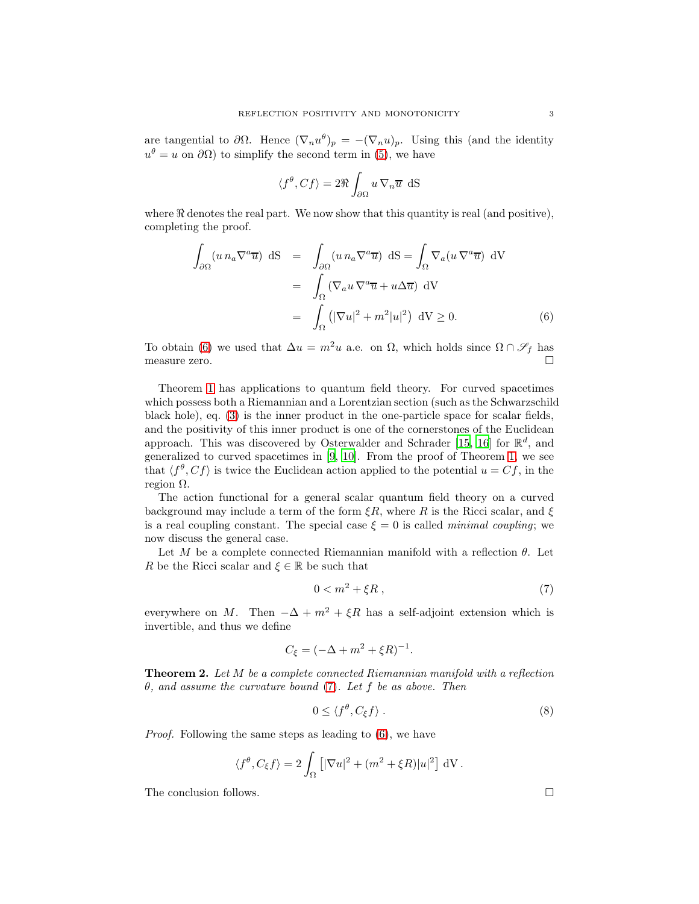are tangential to  $\partial\Omega$ . Hence  $(\nabla_n u^{\theta})_p = -(\nabla_n u)_p$ . Using this (and the identity  $u^{\theta} = u$  on  $\partial \Omega$ ) to simplify the second term in [\(5\)](#page-1-3), we have

$$
\langle f^{\theta}, Cf \rangle = 2\Re \int_{\partial \Omega} u \, \nabla_n \overline{u} \, \, \mathrm{d}S
$$

where  $\Re$  denotes the real part. We now show that this quantity is real (and positive), completing the proof.

<span id="page-2-0"></span>
$$
\int_{\partial\Omega} (u n_a \nabla^a \overline{u}) dS = \int_{\partial\Omega} (u n_a \nabla^a \overline{u}) dS = \int_{\Omega} \nabla_a (u \nabla^a \overline{u}) dV
$$

$$
= \int_{\Omega} (\nabla_a u \nabla^a \overline{u} + u \Delta \overline{u}) dV
$$

$$
= \int_{\Omega} (|\nabla u|^2 + m^2 |u|^2) dV \ge 0.
$$
(6)

To obtain [\(6\)](#page-2-0) we used that  $\Delta u = m^2 u$  a.e. on  $\Omega$ , which holds since  $\Omega \cap \mathscr{S}_f$  has measure zero.  $\square$ 

Theorem [1](#page-1-4) has applications to quantum field theory. For curved spacetimes which possess both a Riemannian and a Lorentzian section (such as the Schwarzschild black hole), eq. [\(3\)](#page-1-5) is the inner product in the one-particle space for scalar fields, and the positivity of this inner product is one of the cornerstones of the Euclidean approach. This was discovered by Osterwalder and Schrader [\[15,](#page-10-4) [16](#page-10-5)] for  $\mathbb{R}^d$ , and generalized to curved spacetimes in [\[9,](#page-9-7) [10](#page-9-1)]. From the proof of Theorem [1,](#page-1-4) we see that  $\langle f^{\theta}, Cf \rangle$  is twice the Euclidean action applied to the potential  $u = Cf$ , in the region  $Ω$ .

The action functional for a general scalar quantum field theory on a curved background may include a term of the form  $\xi R$ , where R is the Ricci scalar, and  $\xi$ is a real coupling constant. The special case  $\xi = 0$  is called *minimal coupling*; we now discuss the general case.

Let M be a complete connected Riemannian manifold with a reflection  $\theta$ . Let R be the Ricci scalar and  $\xi \in \mathbb{R}$  be such that

<span id="page-2-1"></span>
$$
0 < m^2 + \xi R \tag{7}
$$

everywhere on M. Then  $-\Delta + m^2 + \xi R$  has a self-adjoint extension which is invertible, and thus we define

$$
C_{\xi} = (-\Delta + m^2 + \xi R)^{-1}.
$$

Theorem 2. Let M be a complete connected Riemannian manifold with a reflection  $\theta$ , and assume the curvature bound [\(7\)](#page-2-1). Let f be as above. Then

$$
0 \le \langle f^{\theta}, C_{\xi} f \rangle . \tag{8}
$$

Proof. Following the same steps as leading to [\(6\)](#page-2-0), we have

$$
\langle f^{\theta}, C_{\xi} f \rangle = 2 \int_{\Omega} \left[ |\nabla u|^2 + (m^2 + \xi R)|u|^2 \right] dV.
$$

The conclusion follows.  $\Box$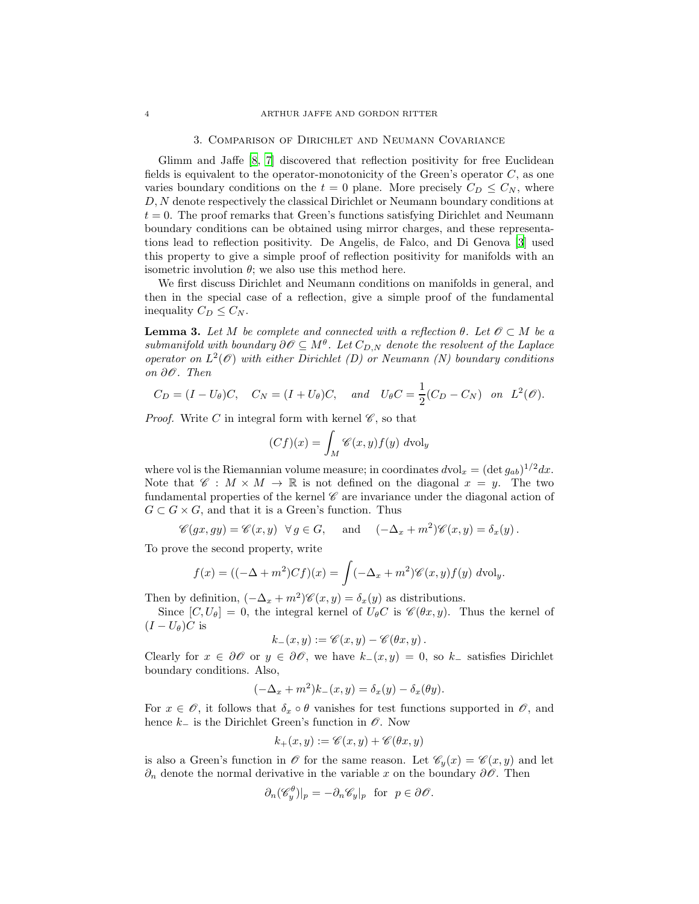#### 3. Comparison of Dirichlet and Neumann Covariance

Glimm and Jaffe [\[8,](#page-9-8) [7\]](#page-9-9) discovered that reflection positivity for free Euclidean fields is equivalent to the operator-monotonicity of the Green's operator  $C$ , as one varies boundary conditions on the  $t = 0$  plane. More precisely  $C_D \leq C_N$ , where D, N denote respectively the classical Dirichlet or Neumann boundary conditions at  $t = 0$ . The proof remarks that Green's functions satisfying Dirichlet and Neumann boundary conditions can be obtained using mirror charges, and these representations lead to reflection positivity. De Angelis, de Falco, and Di Genova [\[3\]](#page-9-10) used this property to give a simple proof of reflection positivity for manifolds with an isometric involution  $\theta$ ; we also use this method here.

We first discuss Dirichlet and Neumann conditions on manifolds in general, and then in the special case of a reflection, give a simple proof of the fundamental inequality  $C_D \leq C_N$ .

<span id="page-3-0"></span>**Lemma 3.** Let M be complete and connected with a reflection  $\theta$ . Let  $\mathcal{O} \subset M$  be a submanifold with boundary  $\partial \mathscr{O} \subseteq M^{\theta}$ . Let  $C_{D,N}$  denote the resolvent of the Laplace operator on  $L^2(\mathcal{O})$  with either Dirichlet (D) or Neumann (N) boundary conditions on ∂O. Then

$$
C_D = (I - U_\theta)C, \quad C_N = (I + U_\theta)C, \quad and \quad U_\theta C = \frac{1}{2}(C_D - C_N) \quad on \quad L^2(\mathcal{O}).
$$

*Proof.* Write C in integral form with kernel  $\mathscr{C}$ , so that

$$
(Cf)(x) = \int_M \mathscr{C}(x, y) f(y) \, d\text{vol}_y
$$

where vol is the Riemannian volume measure; in coordinates  $dvol_x = (\det g_{ab})^{1/2} dx$ . Note that  $\mathscr{C}: M \times M \to \mathbb{R}$  is not defined on the diagonal  $x = y$ . The two fundamental properties of the kernel  $\mathscr C$  are invariance under the diagonal action of  $G \subset G \times G$ , and that it is a Green's function. Thus

$$
\mathscr{C}(gx, gy) = \mathscr{C}(x, y) \quad \forall g \in G
$$
, and  $(-\Delta_x + m^2)\mathscr{C}(x, y) = \delta_x(y)$ .

To prove the second property, write

$$
f(x) = ((-\Delta + m^2)Cf)(x) = \int (-\Delta_x + m^2)\mathscr{C}(x, y)f(y) \, d\text{vol}_y.
$$

Then by definition,  $(-\Delta_x + m^2)$ % $(x, y) = \delta_x(y)$  as distributions.

Since  $[C, U_{\theta}] = 0$ , the integral kernel of  $U_{\theta}C$  is  $\mathscr{C}(\theta x, y)$ . Thus the kernel of  $(I-U_{\theta})C$  is

$$
k_{-}(x,y):=\mathscr{C}(x,y)-\mathscr{C}(\theta x,y).
$$

Clearly for  $x \in \partial \mathscr{O}$  or  $y \in \partial \mathscr{O}$ , we have  $k_-(x, y) = 0$ , so  $k_-\$  satisfies Dirichlet boundary conditions. Also,

$$
(-\Delta_x + m^2)k_-(x, y) = \delta_x(y) - \delta_x(\theta y).
$$

For  $x \in \mathscr{O}$ , it follows that  $\delta_x \circ \theta$  vanishes for test functions supported in  $\mathscr{O}$ , and hence  $k_$  is the Dirichlet Green's function in  $\mathscr O$ . Now

$$
k_+(x,y) := \mathscr{C}(x,y) + \mathscr{C}(\theta x,y)
$$

is also a Green's function in  $\mathscr O$  for the same reason. Let  $\mathscr C_y(x) = \mathscr C(x, y)$  and let  $\partial_n$  denote the normal derivative in the variable x on the boundary  $\partial\mathcal{O}$ . Then

$$
\partial_n(\mathscr{C}^{\theta}_y)|_p = -\partial_n \mathscr{C}_y|_p \text{ for } p \in \partial \mathscr{O}.
$$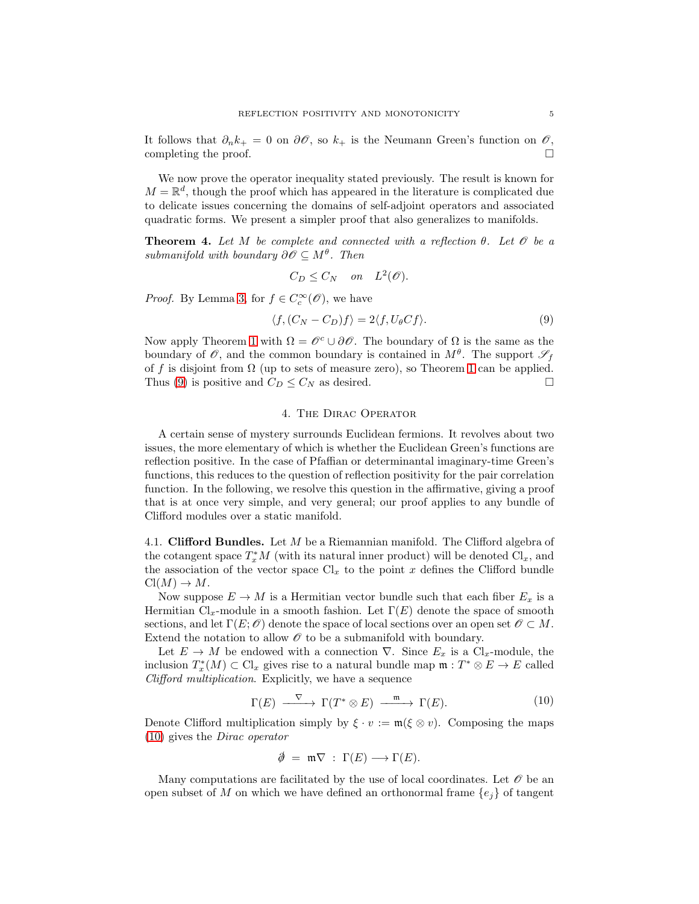It follows that  $\partial_n k_+ = 0$  on  $\partial \mathcal{O}$ , so  $k_+$  is the Neumann Green's function on  $\mathcal{O}$ , completing the proof.  $\Box$ 

We now prove the operator inequality stated previously. The result is known for  $M = \mathbb{R}^d$ , though the proof which has appeared in the literature is complicated due to delicate issues concerning the domains of self-adjoint operators and associated quadratic forms. We present a simpler proof that also generalizes to manifolds.

**Theorem 4.** Let M be complete and connected with a reflection  $\theta$ . Let  $\mathcal O$  be a submanifold with boundary  $\partial \mathscr{O} \subseteq M^{\theta}$ . Then

$$
C_D \leq C_N \quad on \quad L^2(\mathcal{O}).
$$

*Proof.* By Lemma [3,](#page-3-0) for  $f \in C_c^{\infty}(\mathscr{O})$ , we have

<span id="page-4-0"></span>
$$
\langle f, (C_N - C_D)f \rangle = 2 \langle f, U_{\theta} C f \rangle. \tag{9}
$$

Now apply Theorem [1](#page-1-4) with  $\Omega = \mathscr{O}^c \cup \partial \mathscr{O}$ . The boundary of  $\Omega$  is the same as the boundary of  $\mathscr O$ , and the common boundary is contained in  $M^{\theta}$ . The support  $\mathscr S_f$ of f is disjoint from  $\Omega$  (up to sets of measure zero), so Theorem [1](#page-1-4) can be applied. Thus [\(9\)](#page-4-0) is positive and  $C_D \leq C_N$  as desired.

## 4. The Dirac Operator

A certain sense of mystery surrounds Euclidean fermions. It revolves about two issues, the more elementary of which is whether the Euclidean Green's functions are reflection positive. In the case of Pfaffian or determinantal imaginary-time Green's functions, this reduces to the question of reflection positivity for the pair correlation function. In the following, we resolve this question in the affirmative, giving a proof that is at once very simple, and very general; our proof applies to any bundle of Clifford modules over a static manifold.

<span id="page-4-2"></span>4.1. Clifford Bundles. Let M be a Riemannian manifold. The Clifford algebra of the cotangent space  $T_x^*M$  (with its natural inner product) will be denoted  $\text{Cl}_x$ , and the association of the vector space  $Cl_x$  to the point x defines the Clifford bundle  $Cl(M) \to M$ .

Now suppose  $E \to M$  is a Hermitian vector bundle such that each fiber  $E_x$  is a Hermitian  $Cl_{\tau}$ -module in a smooth fashion. Let  $\Gamma(E)$  denote the space of smooth sections, and let  $\Gamma(E; \mathcal{O})$  denote the space of local sections over an open set  $\mathcal{O} \subset M$ . Extend the notation to allow  $\mathcal O$  to be a submanifold with boundary.

Let  $E \to M$  be endowed with a connection  $\nabla$ . Since  $E_x$  is a Cl<sub>x</sub>-module, the inclusion  $T_x^*(M) \subset \mathrm{Cl}_x$  gives rise to a natural bundle map  $\mathfrak{m}: T^* \otimes E \to E$  called Clifford multiplication. Explicitly, we have a sequence

<span id="page-4-1"></span>
$$
\Gamma(E) \xrightarrow{\nabla} \Gamma(T^* \otimes E) \xrightarrow{\mathfrak{m}} \Gamma(E). \tag{10}
$$

Denote Clifford multiplication simply by  $\xi \cdot v := \mathfrak{m}(\xi \otimes v)$ . Composing the maps [\(10\)](#page-4-1) gives the Dirac operator

$$
\emptyset \ = \ \mathfrak{m} \nabla \ : \ \Gamma(E) \longrightarrow \Gamma(E).
$$

Many computations are facilitated by the use of local coordinates. Let  $\mathscr O$  be an open subset of M on which we have defined an orthonormal frame  ${e_i}$  of tangent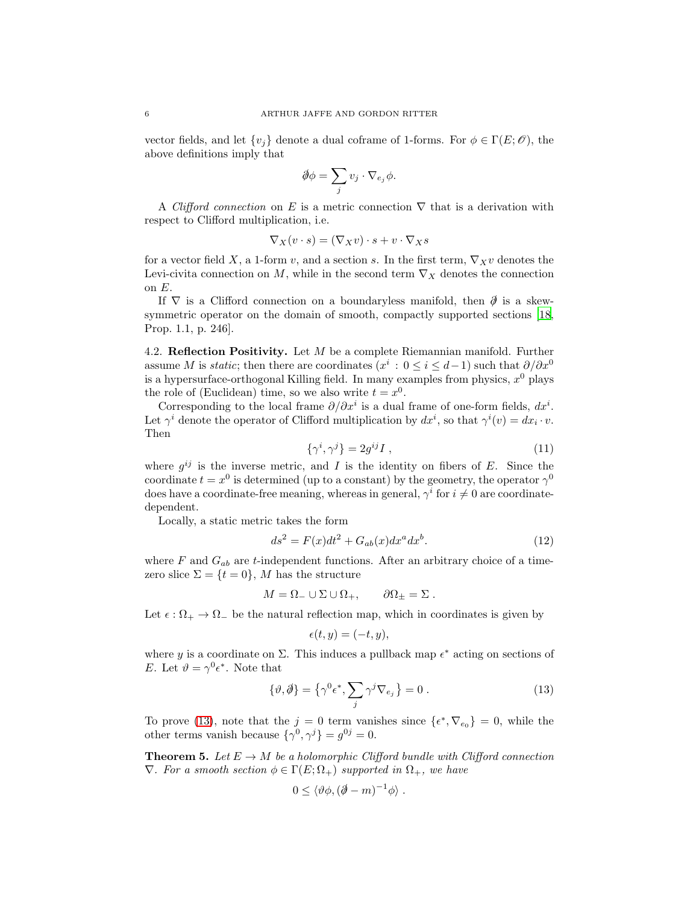vector fields, and let  $\{v_j\}$  denote a dual coframe of 1-forms. For  $\phi \in \Gamma(E; \mathcal{O})$ , the above definitions imply that

$$
\oint \phi = \sum_j v_j \cdot \nabla_{e_j} \phi.
$$

A Clifford connection on E is a metric connection  $\nabla$  that is a derivation with respect to Clifford multiplication, i.e.

$$
\nabla_X(v \cdot s) = (\nabla_X v) \cdot s + v \cdot \nabla_X s
$$

for a vector field X, a 1-form v, and a section s. In the first term,  $\nabla_X v$  denotes the Levi-civita connection on M, while in the second term  $\nabla_X$  denotes the connection on E.

If  $\nabla$  is a Clifford connection on a boundaryless manifold, then  $\partial$  is a skewsymmetric operator on the domain of smooth, compactly supported sections [\[18,](#page-10-6) Prop. 1.1, p. 246].

4.2. Reflection Positivity. Let  $M$  be a complete Riemannian manifold. Further assume M is *static*; then there are coordinates  $(x^{i}: 0 \leq i \leq d-1)$  such that  $\partial/\partial x^{0}$ is a hypersurface-orthogonal Killing field. In many examples from physics,  $x^0$  plays the role of (Euclidean) time, so we also write  $t = x^0$ .

Corresponding to the local frame  $\partial/\partial x^i$  is a dual frame of one-form fields,  $dx^i$ . Let  $\gamma^i$  denote the operator of Clifford multiplication by  $dx^i$ , so that  $\gamma^i(v) = dx_i \cdot v$ . Then

$$
\{\gamma^i, \gamma^j\} = 2g^{ij}I\,,\tag{11}
$$

where  $g^{ij}$  is the inverse metric, and I is the identity on fibers of E. Since the coordinate  $t = x^0$  is determined (up to a constant) by the geometry, the operator  $\gamma^0$ does have a coordinate-free meaning, whereas in general,  $\gamma^i$  for  $i \neq 0$  are coordinatedependent.

Locally, a static metric takes the form

<span id="page-5-1"></span>
$$
ds2 = F(x)dt2 + Gab(x)dxa dxb.
$$
 (12)

where  $F$  and  $G_{ab}$  are t-independent functions. After an arbitrary choice of a timezero slice  $\Sigma = \{t = 0\}$ , M has the structure

$$
M = \Omega_- \cup \Sigma \cup \Omega_+, \qquad \partial \Omega_\pm = \Sigma \ .
$$

Let  $\epsilon : \Omega_+ \to \Omega_-$  be the natural reflection map, which in coordinates is given by

$$
\epsilon(t,y)=(-t,y),
$$

where y is a coordinate on  $\Sigma$ . This induces a pullback map  $\epsilon^*$  acting on sections of E. Let  $\vartheta = \gamma^0 \epsilon^*$ . Note that

<span id="page-5-0"></span>
$$
\{\vartheta,\partial\} = \left\{\gamma^0 \epsilon^*, \sum_j \gamma^j \nabla_{e_j}\right\} = 0.
$$
\n(13)

To prove [\(13\)](#page-5-0), note that the  $j = 0$  term vanishes since  $\{\epsilon^*, \nabla_{e_0}\} = 0$ , while the other terms vanish because  $\{\gamma^0, \gamma^j\} = g^{0j} = 0.$ 

<span id="page-5-2"></span>**Theorem 5.** Let  $E \to M$  be a holomorphic Clifford bundle with Clifford connection  $\nabla$ . For a smooth section  $\phi \in \Gamma(E; \Omega_+)$  supported in  $\Omega_+$ , we have

$$
0 \leq \langle \vartheta \phi, (\partial \!\!\!/- m)^{-1} \phi \rangle \ .
$$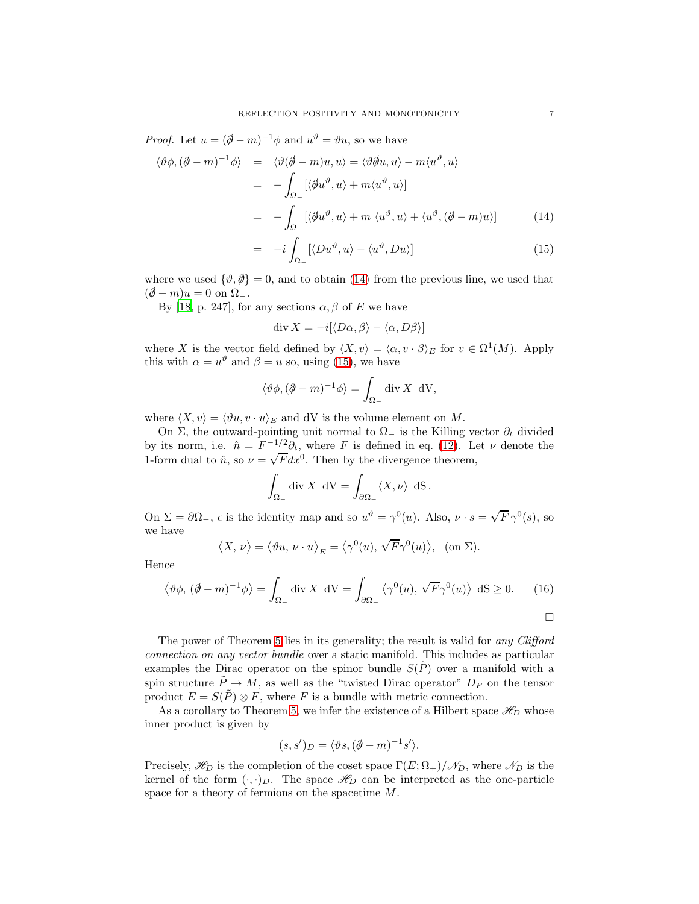*Proof.* Let  $u = (\partial \negthinspace / -m)^{-1} \phi$  and  $u^{\vartheta} = \vartheta u$ , so we have

<span id="page-6-0"></span>
$$
\langle \vartheta \phi, (\partial \!\!\!/ - m)^{-1} \phi \rangle = \langle \vartheta (\partial \!\!\!/ - m) u, u \rangle = \langle \vartheta \partial u, u \rangle - m \langle u^{\vartheta}, u \rangle
$$
  
\n
$$
= - \int_{\Omega_{-}} [\langle \partial u^{\vartheta}, u \rangle + m \langle u^{\vartheta}, u \rangle]
$$
  
\n
$$
= - \int_{\Omega_{-}} [\langle \partial u^{\vartheta}, u \rangle + m \langle u^{\vartheta}, u \rangle + \langle u^{\vartheta}, (\partial \!\!\!/ - m) u \rangle] \tag{14}
$$
  
\n
$$
= -i \int [\langle Du^{\vartheta}, u \rangle - \langle u^{\vartheta}, Du \rangle] \tag{15}
$$

$$
= -i \int_{\Omega_{-}} [\langle Du^{\vartheta}, u \rangle - \langle u^{\vartheta}, Du \rangle] \tag{15}
$$

where we used  $\{\vartheta, \vartheta\} = 0$ , and to obtain [\(14\)](#page-6-0) from the previous line, we used that  $(\partial\!\!\!/-m)u=0$  on  $\Omega_-.$ 

By [\[18](#page-10-6), p. 247], for any sections  $\alpha$ ,  $\beta$  of E we have

$$
\operatorname{div} X = -i[\langle D\alpha, \beta \rangle - \langle \alpha, D\beta \rangle]
$$

where X is the vector field defined by  $\langle X, v \rangle = \langle \alpha, v \cdot \beta \rangle_E$  for  $v \in \Omega^1(M)$ . Apply this with  $\alpha = u^{\vartheta}$  and  $\beta = u$  so, using [\(15\)](#page-6-0), we have

$$
\langle \vartheta \phi, (\partial \!\!\! / - m)^{-1} \phi \rangle = \int_{\Omega_-} \text{div} \, X \, dV,
$$

where  $\langle X, v \rangle = \langle \vartheta u, v \cdot u \rangle_E$  and dV is the volume element on M.

On Σ, the outward-pointing unit normal to  $\Omega$ <sub>−</sub> is the Killing vector  $\partial_t$  divided by its norm, i.e.  $\hat{n} = F^{-1/2} \partial_t$ , where F is defined in eq. [\(12\)](#page-5-1). Let  $\nu$  denote the 1-form dual to  $\hat{n}$ , so  $\nu = \sqrt{F}dx^0$ . Then by the divergence theorem,

$$
\int_{\Omega_-} \operatorname{div} X \, dV = \int_{\partial \Omega_-} \langle X, \nu \rangle \, dS.
$$

On  $\Sigma = \partial \Omega_-, \epsilon$  is the identity map and so  $u^{\vartheta} = \gamma^0(u)$ . Also,  $\nu \cdot s = \sqrt{F} \gamma^0(s)$ , so we have

$$
\langle X, \nu \rangle = \langle \vartheta u, \nu \cdot u \rangle_E = \langle \gamma^0(u), \sqrt{F} \gamma^0(u) \rangle
$$
, (on  $\Sigma$ ).

Hence

<span id="page-6-1"></span>
$$
\langle \vartheta \phi, (\partial \!\!\!/ - m)^{-1} \phi \rangle = \int_{\Omega_-} \text{div} \, X \, \text{d}V = \int_{\partial \Omega_-} \langle \gamma^0(u), \sqrt{F} \gamma^0(u) \rangle \, \text{d}S \ge 0. \tag{16}
$$

 $\Box$ 

The power of Theorem [5](#page-5-2) lies in its generality; the result is valid for any Clifford connection on any vector bundle over a static manifold. This includes as particular examples the Dirac operator on the spinor bundle  $S(\tilde{P})$  over a manifold with a spin structure  $\tilde{P} \to M$ , as well as the "twisted Dirac operator"  $D_F$  on the tensor product  $E = S(\tilde{P}) \otimes F$ , where F is a bundle with metric connection.

As a corollary to Theorem [5,](#page-5-2) we infer the existence of a Hilbert space  $\mathscr{H}_D$  whose inner product is given by

$$
(s, s')_D = \langle \vartheta s, (\partial \!\!\!/- m)^{-1} s' \rangle.
$$

Precisely,  $\mathscr{H}_D$  is the completion of the coset space  $\Gamma(E; \Omega_+) / \mathscr{N}_D$ , where  $\mathscr{N}_D$  is the kernel of the form  $(\cdot, \cdot)_D$ . The space  $\mathscr{H}_D$  can be interpreted as the one-particle space for a theory of fermions on the spacetime M.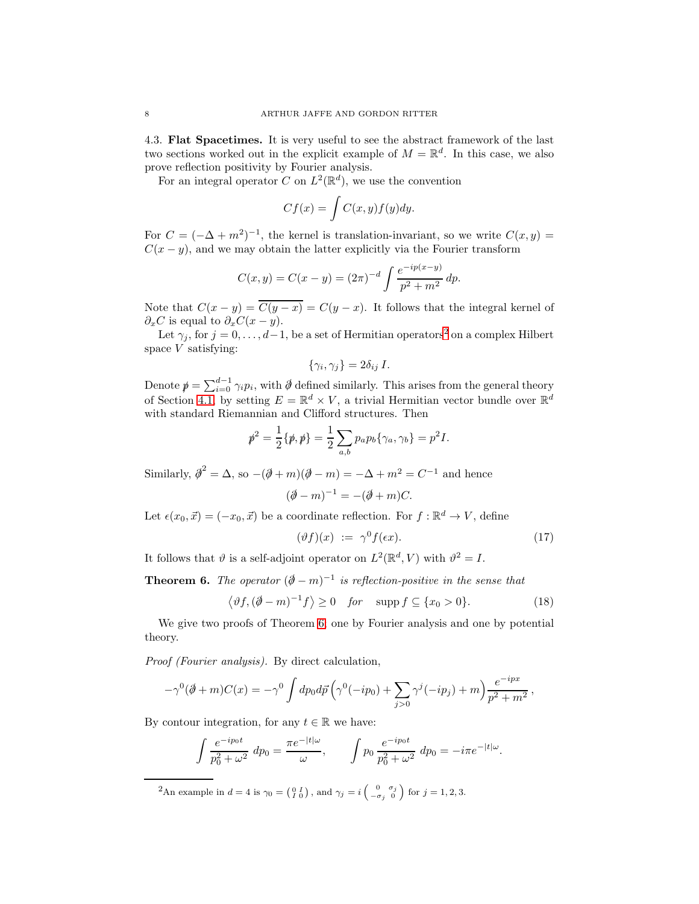4.3. Flat Spacetimes. It is very useful to see the abstract framework of the last two sections worked out in the explicit example of  $M = \mathbb{R}^d$ . In this case, we also prove reflection positivity by Fourier analysis.

For an integral operator C on  $L^2(\mathbb{R}^d)$ , we use the convention

$$
Cf(x) = \int C(x, y) f(y) dy.
$$

For  $C = (-\Delta + m^2)^{-1}$ , the kernel is translation-invariant, so we write  $C(x, y) = C$  $C(x - y)$ , and we may obtain the latter explicitly via the Fourier transform

$$
C(x, y) = C(x - y) = (2\pi)^{-d} \int \frac{e^{-ip(x - y)}}{p^2 + m^2} dp.
$$

Note that  $C(x - y) = \overline{C(y - x)} = C(y - x)$ . It follows that the integral kernel of  $\partial_x C$  is equal to  $\partial_x C(x-y)$ .

Let  $\gamma_j$ , for  $j = 0, \ldots, d-1$ , be a set of Hermitian operators<sup>[2](#page-7-0)</sup> on a complex Hilbert space  $V$  satisfying:

$$
\{\gamma_i, \gamma_j\} = 2\delta_{ij} I.
$$

Denote  $p = \sum_{i=0}^{d-1} \gamma_i p_i$ , with  $\phi$  defined similarly. This arises from the general theory of Section [4.1,](#page-4-2) by setting  $E = \mathbb{R}^d \times V$ , a trivial Hermitian vector bundle over  $\mathbb{R}^d$ with standard Riemannian and Clifford structures. Then

$$
\mathbf{p}^2 = \frac{1}{2} \{ \mathbf{p}, \mathbf{p} \} = \frac{1}{2} \sum_{a,b} p_a p_b \{ \gamma_a, \gamma_b \} = p^2 I.
$$

Similarly,  $\hat{\phi}^2 = \Delta$ , so  $-(\hat{\phi} + m)(\hat{\phi} - m) = -\Delta + m^2 = C^{-1}$  and hence

$$
(\partial \hspace{-0.25em}/ - m)^{-1} = -(\partial \hspace{-0.25em}/ + m)C.
$$

Let  $\epsilon(x_0, \vec{x}) = (-x_0, \vec{x})$  be a coordinate reflection. For  $f : \mathbb{R}^d \to V$ , define

$$
(\vartheta f)(x) := \gamma^0 f(\epsilon x). \tag{17}
$$

It follows that  $\vartheta$  is a self-adjoint operator on  $L^2(\mathbb{R}^d, V)$  with  $\vartheta^2 = I$ .

<span id="page-7-1"></span>**Theorem 6.** The operator  $(\partial \mathcal{L} - m)^{-1}$  is reflection-positive in the sense that

<span id="page-7-2"></span>
$$
\langle \vartheta f, (\partial \!\!\!/ - m)^{-1} f \rangle \ge 0 \quad \text{for} \quad \text{supp} \, f \subseteq \{x_0 > 0\}. \tag{18}
$$

We give two proofs of Theorem [6;](#page-7-1) one by Fourier analysis and one by potential theory.

Proof (Fourier analysis). By direct calculation,

$$
-\gamma^{0}(\partial \!\!\! /+m)C(x) = -\gamma^{0}\int dp_{0}d\vec{p}\left(\gamma^{0}(-ip_{0}) + \sum_{j>0}\gamma^{j}(-ip_{j}) + m\right)\frac{e^{-ipx}}{p^{2}+m^{2}},
$$

By contour integration, for any  $t \in \mathbb{R}$  we have:

$$
\int \frac{e^{-ip_0 t}}{p_0^2 + \omega^2} dp_0 = \frac{\pi e^{-|t|\omega}}{\omega}, \qquad \int p_0 \frac{e^{-ip_0 t}}{p_0^2 + \omega^2} dp_0 = -i\pi e^{-|t|\omega}.
$$

<span id="page-7-0"></span><sup>2</sup>An example in  $d = 4$  is  $\gamma_0 = \begin{pmatrix} 0 & I \\ I & 0 \end{pmatrix}$ , and  $\gamma_j = i \begin{pmatrix} 0 & \sigma_j \\ -\sigma_j & 0 \end{pmatrix}$  for  $j = 1, 2, 3$ .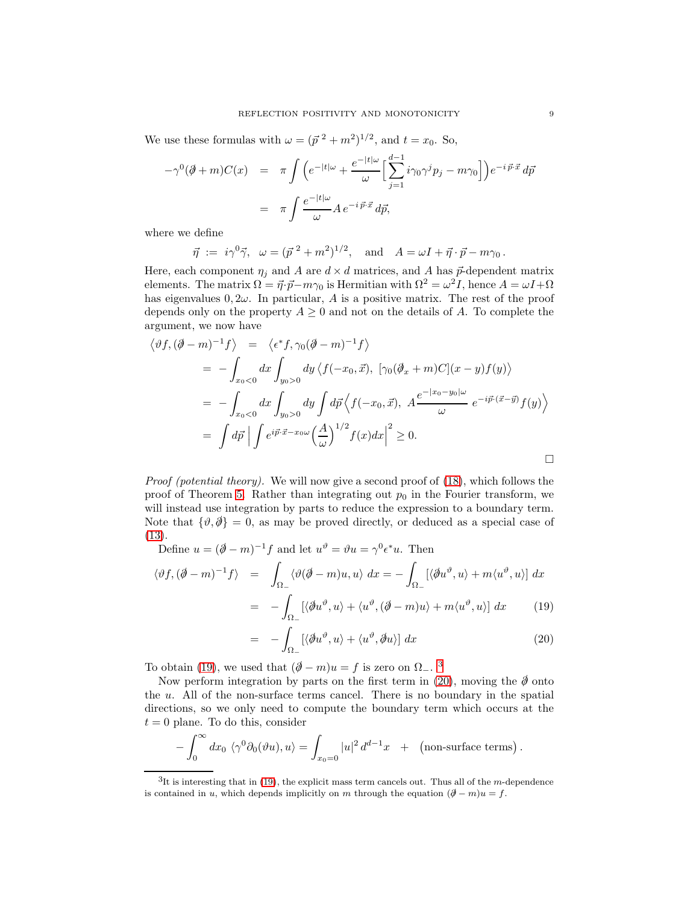We use these formulas with  $\omega = (\vec{p}^2 + m^2)^{1/2}$ , and  $t = x_0$ . So,

$$
-\gamma^{0}(\partial\!\!\!/\,\!+\,m)C(x) = \pi \int \left(e^{-|t|\omega} + \frac{e^{-|t|\omega}}{\omega}\Big[\sum_{j=1}^{d-1}i\gamma_{0}\gamma^{j}p_{j} - m\gamma_{0}\Big]\right)e^{-i\vec{p}\cdot\vec{x}}d\vec{p}
$$

$$
= \pi \int \frac{e^{-|t|\omega}}{\omega}A\,e^{-i\vec{p}\cdot\vec{x}}d\vec{p},
$$

where we define

 $\vec{\eta} := i\gamma^0 \vec{\gamma}, \ \ \omega = (\vec{p}^2 + m^2)^{1/2}, \ \ \text{and} \ \ A = \omega I + \vec{\eta} \cdot \vec{p} - m\gamma_0.$ 

Here, each component  $\eta_j$  and A are  $d \times d$  matrices, and A has  $\vec{p}$ -dependent matrix elements. The matrix  $\Omega = \vec{\eta} \cdot \vec{p} - m\gamma_0$  is Hermitian with  $\Omega^2 = \omega^2 I$ , hence  $A = \omega I + \Omega$ has eigenvalues  $0, 2\omega$ . In particular, A is a positive matrix. The rest of the proof depends only on the property  $A \geq 0$  and not on the details of A. To complete the argument, we now have

$$
\langle \vartheta f, (\partial \!\!\!/ - m)^{-1} f \rangle = \langle \epsilon^* f, \gamma_0 (\partial \!\!\!/ - m)^{-1} f \rangle
$$
  
\n
$$
= - \int_{x_0 < 0} dx \int_{y_0 > 0} dy \langle f(-x_0, \vec{x}), [\gamma_0 (\partial \!\!\!/ - m) C](x - y) f(y) \rangle
$$
  
\n
$$
= - \int_{x_0 < 0} dx \int_{y_0 > 0} dy \int d\vec{p} \langle f(-x_0, \vec{x}), A \frac{e^{-|x_0 - y_0| \omega}}{\omega} e^{-i\vec{p} \cdot (\vec{x} - \vec{y})} f(y) \rangle
$$
  
\n
$$
= \int d\vec{p} | \int e^{i\vec{p} \cdot \vec{x} - x_0 \omega} \Big( \frac{A}{\omega} \Big)^{1/2} f(x) dx \Big|^2 \ge 0.
$$

Proof (potential theory). We will now give a second proof of [\(18\)](#page-7-2), which follows the proof of Theorem [5.](#page-5-2) Rather than integrating out  $p_0$  in the Fourier transform, we will instead use integration by parts to reduce the expression to a boundary term. Note that  $\{\vartheta,\partial\}=0$ , as may be proved directly, or deduced as a special case of [\(13\)](#page-5-0).

Define  $u = (\partial \!\!\! / - m)^{-1} f$  and let  $u^{\vartheta} = \vartheta u = \gamma^0 \epsilon^* u$ . Then

<span id="page-8-0"></span>
$$
\langle \vartheta f, (\vec{\phi} - m)^{-1} f \rangle = \int_{\Omega_{-}} \langle \vartheta(\vec{\phi} - m)u, u \rangle dx = - \int_{\Omega_{-}} [\langle \vec{\phi}u^{\vartheta}, u \rangle + m \langle u^{\vartheta}, u \rangle] dx
$$

$$
= - \int_{\Omega_{-}} [\langle \vec{\phi}u^{\vartheta}, u \rangle + \langle u^{\vartheta}, (\vec{\phi} - m)u \rangle + m \langle u^{\vartheta}, u \rangle] dx \qquad (19)
$$

$$
= -\int_{\Omega_{-}} [\langle \partial u^{\vartheta}, u \rangle + \langle u^{\vartheta}, \partial u \rangle] dx \qquad (20)
$$

To obtain [\(19\)](#page-8-0), we used that  $(\partial \!\!\!/- m)u = f$  is zero on  $\Omega_{-}$ .

Now perform integration by parts on the first term in [\(20\)](#page-8-0), moving the  $\emptyset$  onto the u. All of the non-surface terms cancel. There is no boundary in the spatial directions, so we only need to compute the boundary term which occurs at the  $t = 0$  plane. To do this, consider

$$
-\int_0^\infty dx_0 \langle \gamma^0 \partial_0(\vartheta u), u \rangle = \int_{x_0=0} |u|^2 d^{d-1}x + (\text{non-surface terms}).
$$

<span id="page-8-1"></span> ${}^{3}$ It is interesting that in [\(19\)](#page-8-0), the explicit mass term cancels out. Thus all of the m-dependence is contained in u, which depends implicitly on m through the equation  $(\partial \! \! / -m)u = f$ .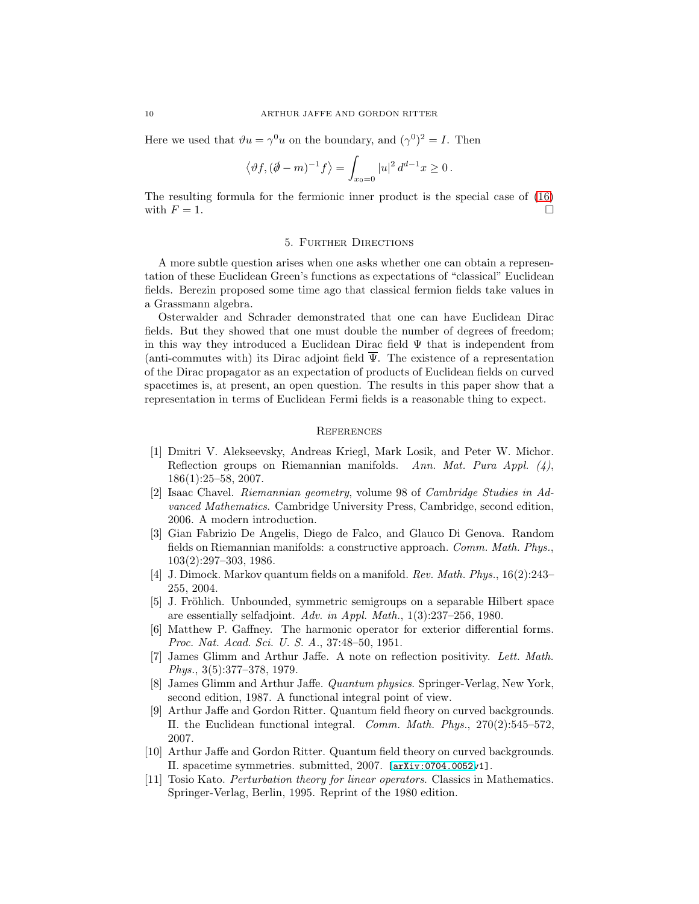Here we used that  $\vartheta u = \gamma^0 u$  on the boundary, and  $(\gamma^0)^2 = I$ . Then

$$
\langle \vartheta f, (\partial \!\!\! / - m)^{-1} f \rangle = \int_{x_0 = 0} |u|^2 d^{d-1} x \ge 0.
$$

The resulting formula for the fermionic inner product is the special case of [\(16\)](#page-6-1) with  $F = 1$ .

### 5. Further Directions

A more subtle question arises when one asks whether one can obtain a representation of these Euclidean Green's functions as expectations of "classical" Euclidean fields. Berezin proposed some time ago that classical fermion fields take values in a Grassmann algebra.

Osterwalder and Schrader demonstrated that one can have Euclidean Dirac fields. But they showed that one must double the number of degrees of freedom; in this way they introduced a Euclidean Dirac field  $\Psi$  that is independent from (anti-commutes with) its Dirac adjoint field  $\overline{\Psi}$ . The existence of a representation of the Dirac propagator as an expectation of products of Euclidean fields on curved spacetimes is, at present, an open question. The results in this paper show that a representation in terms of Euclidean Fermi fields is a reasonable thing to expect.

## **REFERENCES**

- <span id="page-9-5"></span>[1] Dmitri V. Alekseevsky, Andreas Kriegl, Mark Losik, and Peter W. Michor. Reflection groups on Riemannian manifolds. Ann. Mat. Pura Appl.  $(4)$ , 186(1):25–58, 2007.
- <span id="page-9-4"></span>[2] Isaac Chavel. Riemannian geometry, volume 98 of Cambridge Studies in Advanced Mathematics. Cambridge University Press, Cambridge, second edition, 2006. A modern introduction.
- <span id="page-9-10"></span>[3] Gian Fabrizio De Angelis, Diego de Falco, and Glauco Di Genova. Random fields on Riemannian manifolds: a constructive approach. Comm. Math. Phys., 103(2):297–303, 1986.
- <span id="page-9-2"></span>[4] J. Dimock. Markov quantum fields on a manifold. Rev. Math. Phys., 16(2):243– 255, 2004.
- <span id="page-9-0"></span>[5] J. Fröhlich. Unbounded, symmetric semigroups on a separable Hilbert space are essentially selfadjoint. Adv. in Appl. Math., 1(3):237–256, 1980.
- <span id="page-9-3"></span>[6] Matthew P. Gaffney. The harmonic operator for exterior differential forms. Proc. Nat. Acad. Sci. U. S. A., 37:48–50, 1951.
- <span id="page-9-9"></span>[7] James Glimm and Arthur Jaffe. A note on reflection positivity. Lett. Math. Phys., 3(5):377–378, 1979.
- <span id="page-9-8"></span>[8] James Glimm and Arthur Jaffe. Quantum physics. Springer-Verlag, New York, second edition, 1987. A functional integral point of view.
- <span id="page-9-7"></span>[9] Arthur Jaffe and Gordon Ritter. Quantum field fheory on curved backgrounds. II. the Euclidean functional integral. Comm. Math. Phys., 270(2):545–572, 2007.
- <span id="page-9-1"></span>[10] Arthur Jaffe and Gordon Ritter. Quantum field theory on curved backgrounds. II. spacetime symmetries. submitted, 2007. [\[arXiv:0704.0052v](http://arxiv.org/abs/0704.0052)1].
- <span id="page-9-6"></span>[11] Tosio Kato. Perturbation theory for linear operators. Classics in Mathematics. Springer-Verlag, Berlin, 1995. Reprint of the 1980 edition.